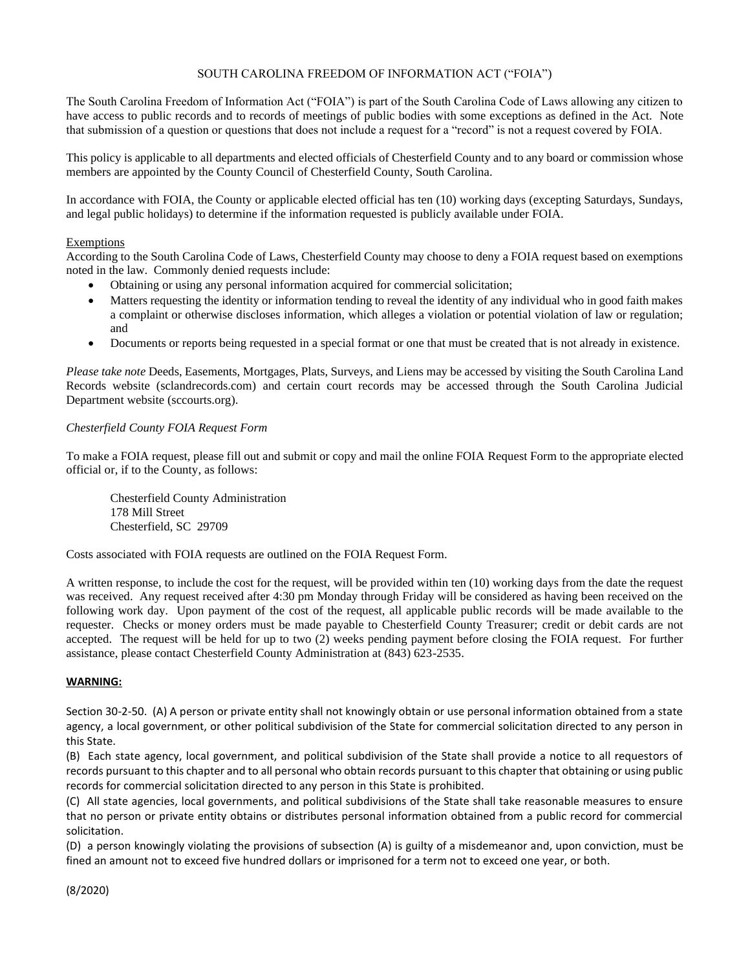## SOUTH CAROLINA FREEDOM OF INFORMATION ACT ("FOIA")

The South Carolina Freedom of Information Act ("FOIA") is part of the South Carolina Code of Laws allowing any citizen to have access to public records and to records of meetings of public bodies with some exceptions as defined in the Act. Note that submission of a question or questions that does not include a request for a "record" is not a request covered by FOIA.

This policy is applicable to all departments and elected officials of Chesterfield County and to any board or commission whose members are appointed by the County Council of Chesterfield County, South Carolina.

In accordance with FOIA, the County or applicable elected official has ten (10) working days (excepting Saturdays, Sundays, and legal public holidays) to determine if the information requested is publicly available under FOIA.

## Exemptions

According to the South Carolina Code of Laws, Chesterfield County may choose to deny a FOIA request based on exemptions noted in the law. Commonly denied requests include:

- Obtaining or using any personal information acquired for commercial solicitation;
- Matters requesting the identity or information tending to reveal the identity of any individual who in good faith makes a complaint or otherwise discloses information, which alleges a violation or potential violation of law or regulation; and
- Documents or reports being requested in a special format or one that must be created that is not already in existence.

*Please take note* Deeds, Easements, Mortgages, Plats, Surveys, and Liens may be accessed by visiting the South Carolina Land Records website (sclandrecords.com) and certain court records may be accessed through the South Carolina Judicial Department website (sccourts.org).

#### *Chesterfield County FOIA Request Form*

To make a FOIA request, please fill out and submit or copy and mail the online FOIA Request Form to the appropriate elected official or, if to the County, as follows:

Chesterfield County Administration 178 Mill Street Chesterfield, SC 29709

Costs associated with FOIA requests are outlined on the FOIA Request Form.

A written response, to include the cost for the request, will be provided within ten (10) working days from the date the request was received. Any request received after 4:30 pm Monday through Friday will be considered as having been received on the following work day. Upon payment of the cost of the request, all applicable public records will be made available to the requester. Checks or money orders must be made payable to Chesterfield County Treasurer; credit or debit cards are not accepted. The request will be held for up to two (2) weeks pending payment before closing the FOIA request. For further assistance, please contact Chesterfield County Administration at (843) 623-2535.

## **WARNING:**

Section 30-2-50. (A) A person or private entity shall not knowingly obtain or use personal information obtained from a state agency, a local government, or other political subdivision of the State for commercial solicitation directed to any person in this State.

(B) Each state agency, local government, and political subdivision of the State shall provide a notice to all requestors of records pursuant to this chapter and to all personal who obtain records pursuant to this chapter that obtaining or using public records for commercial solicitation directed to any person in this State is prohibited.

(C) All state agencies, local governments, and political subdivisions of the State shall take reasonable measures to ensure that no person or private entity obtains or distributes personal information obtained from a public record for commercial solicitation.

(D) a person knowingly violating the provisions of subsection (A) is guilty of a misdemeanor and, upon conviction, must be fined an amount not to exceed five hundred dollars or imprisoned for a term not to exceed one year, or both.